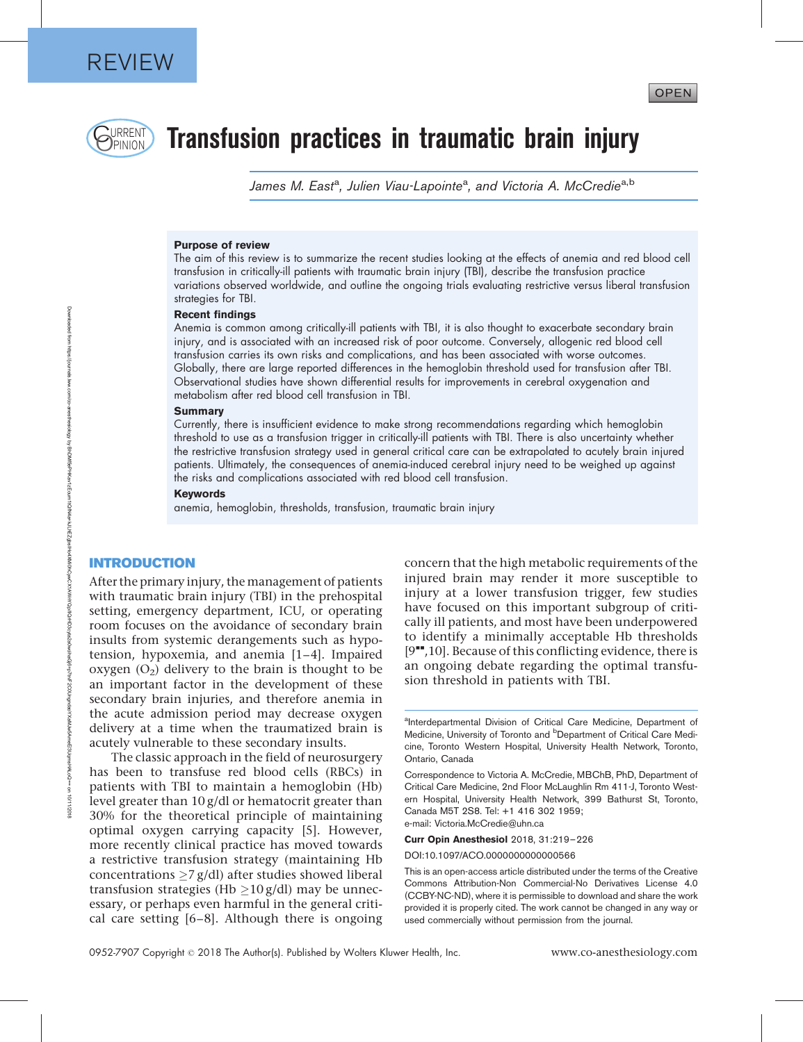

# DRRENT **Transfusion practices in traumatic brain injury**

James M. East<sup>a</sup>, Julien Viau-Lapointe<sup>a</sup>, and Victoria A. McCredie<sup>a,b</sup>

### Purpose of review

The aim of this review is to summarize the recent studies looking at the effects of anemia and red blood cell transfusion in critically-ill patients with traumatic brain injury (TBI), describe the transfusion practice variations observed worldwide, and outline the ongoing trials evaluating restrictive versus liberal transfusion strategies for TBI.

#### Recent findings

Anemia is common among critically-ill patients with TBI, it is also thought to exacerbate secondary brain injury, and is associated with an increased risk of poor outcome. Conversely, allogenic red blood cell transfusion carries its own risks and complications, and has been associated with worse outcomes. Globally, there are large reported differences in the hemoglobin threshold used for transfusion after TBI. Observational studies have shown differential results for improvements in cerebral oxygenation and metabolism after red blood cell transfusion in TBI.

#### Summary

Currently, there is insufficient evidence to make strong recommendations regarding which hemoglobin threshold to use as a transfusion trigger in critically-ill patients with TBI. There is also uncertainty whether the restrictive transfusion strategy used in general critical care can be extrapolated to acutely brain injured patients. Ultimately, the consequences of anemia-induced cerebral injury need to be weighed up against the risks and complications associated with red blood cell transfusion.

#### Keywords

anemia, hemoglobin, thresholds, transfusion, traumatic brain injury

## INTRODUCTION

After the primary injury, the management of patients with traumatic brain injury (TBI) in the prehospital setting, emergency department, ICU, or operating room focuses on the avoidance of secondary brain insults from systemic derangements such as hypotension, hypoxemia, and anemia [1–4]. Impaired oxygen  $(O_2)$  delivery to the brain is thought to be an important factor in the development of these secondary brain injuries, and therefore anemia in the acute admission period may decrease oxygen delivery at a time when the traumatized brain is acutely vulnerable to these secondary insults.

The classic approach in the field of neurosurgery has been to transfuse red blood cells (RBCs) in patients with TBI to maintain a hemoglobin (Hb) level greater than 10 g/dl or hematocrit greater than 30% for the theoretical principle of maintaining optimal oxygen carrying capacity [5]. However, more recently clinical practice has moved towards a restrictive transfusion strategy (maintaining Hb concentrations  $\geq$ 7 g/dl) after studies showed liberal transfusion strategies (Hb  $\geq$ 10 g/dl) may be unnecessary, or perhaps even harmful in the general critical care setting [6–8]. Although there is ongoing concern that the high metabolic requirements of the injured brain may render it more susceptible to injury at a lower transfusion trigger, few studies have focused on this important subgroup of critically ill patients, and most have been underpowered to identify a minimally acceptable Hb thresholds  $[9"$ ,10]. Because of this conflicting evidence, there is an ongoing debate regarding the optimal transfusion threshold in patients with TBI.

Curr Opin Anesthesiol 2018, 31:219–226

DOI:10.1097/ACO.0000000000000566

This is an open-access article distributed under the terms of the Creative Commons Attribution-Non Commercial-No Derivatives License 4.0 (CCBY-NC-ND), where it is permissible to download and share the work provided it is properly cited. The work cannot be changed in any way or used commercially without permission from the journal.

aInterdepartmental Division of Critical Care Medicine, Department of Medicine, University of Toronto and <sup>b</sup>Department of Critical Care Medicine, Toronto Western Hospital, University Health Network, Toronto, Ontario, Canada

Correspondence to Victoria A. McCredie, MBChB, PhD, Department of Critical Care Medicine, 2nd Floor McLaughlin Rm 411-J, Toronto Western Hospital, University Health Network, 399 Bathurst St, Toronto, Canada M5T 2S8. Tel: +1 416 302 1959; e-mail: [Victoria.McCredie@uhn.ca](mailto:Victoria.McCredie@uhn.ca)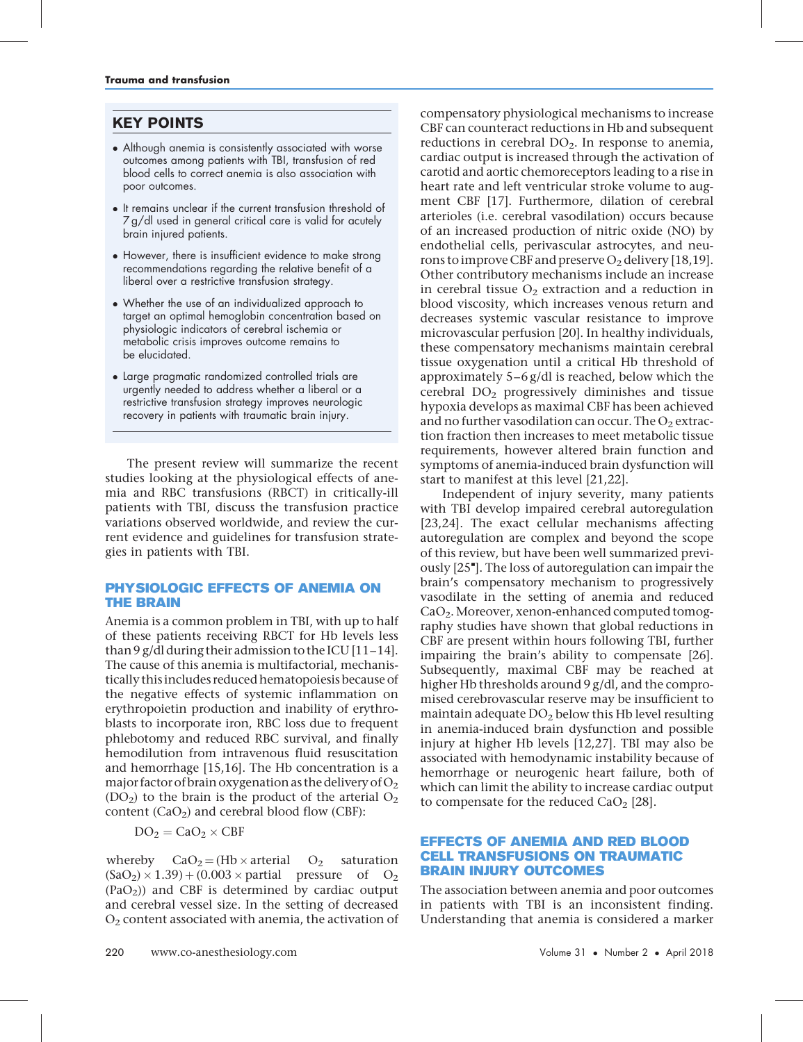# KEY POINTS

- Although anemia is consistently associated with worse outcomes among patients with TBI, transfusion of red blood cells to correct anemia is also association with poor outcomes.
- It remains unclear if the current transfusion threshold of 7 g/dl used in general critical care is valid for acutely brain injured patients.
- However, there is insufficient evidence to make strong recommendations regarding the relative benefit of a liberal over a restrictive transfusion strategy.
- Whether the use of an individualized approach to target an optimal hemoglobin concentration based on physiologic indicators of cerebral ischemia or metabolic crisis improves outcome remains to be elucidated.
- Large pragmatic randomized controlled trials are urgently needed to address whether a liberal or a restrictive transfusion strategy improves neurologic recovery in patients with traumatic brain injury.

The present review will summarize the recent studies looking at the physiological effects of anemia and RBC transfusions (RBCT) in critically-ill patients with TBI, discuss the transfusion practice variations observed worldwide, and review the current evidence and guidelines for transfusion strategies in patients with TBI.

### PHYSIOLOGIC EFFECTS OF ANEMIA ON THE BRAIN

Anemia is a common problem in TBI, with up to half of these patients receiving RBCT for Hb levels less than 9 g/dl during their admission to the ICU  $[11-14]$ . The cause of this anemia is multifactorial, mechanistically this includes reduced hematopoiesis because of the negative effects of systemic inflammation on erythropoietin production and inability of erythroblasts to incorporate iron, RBC loss due to frequent phlebotomy and reduced RBC survival, and finally hemodilution from intravenous fluid resuscitation and hemorrhage [15,16]. The Hb concentration is a major factor of brain oxygenation as the delivery of  $O_2$  $(DO<sub>2</sub>)$  to the brain is the product of the arterial  $O<sub>2</sub>$ content  $(CaO<sub>2</sub>)$  and cerebral blood flow  $(CBF)$ :

$$
DO_2 = CaO_2 \times CBF \\
$$

whereby  $CaO<sub>2</sub> = (Hb \times \text{arterial} \quad O<sub>2</sub> \quad \text{saturation}$  $(SaO<sub>2</sub>) \times 1.39$  +  $(0.003 \times$  partial pressure of  $O<sub>2</sub>$ (PaO2)) and CBF is determined by cardiac output and cerebral vessel size. In the setting of decreased  $O<sub>2</sub>$  content associated with anemia, the activation of

compensatory physiological mechanisms to increase CBF can counteract reductions in Hb and subsequent reductions in cerebral  $DO<sub>2</sub>$ . In response to anemia, cardiac output is increased through the activation of carotid and aortic chemoreceptors leading to a rise in heart rate and left ventricular stroke volume to augment CBF [17]. Furthermore, dilation of cerebral arterioles (i.e. cerebral vasodilation) occurs because of an increased production of nitric oxide (NO) by endothelial cells, perivascular astrocytes, and neurons to improve CBF and preserve  $O_2$  delivery [18,19]. Other contributory mechanisms include an increase in cerebral tissue  $O_2$  extraction and a reduction in blood viscosity, which increases venous return and decreases systemic vascular resistance to improve microvascular perfusion [20]. In healthy individuals, these compensatory mechanisms maintain cerebral tissue oxygenation until a critical Hb threshold of approximately 5–6 g/dl is reached, below which the cerebral  $DO<sub>2</sub>$  progressively diminishes and tissue hypoxia develops as maximal CBF has been achieved and no further vasodilation can occur. The  $O<sub>2</sub>$  extraction fraction then increases to meet metabolic tissue requirements, however altered brain function and symptoms of anemia-induced brain dysfunction will start to manifest at this level [21,22].

Independent of injury severity, many patients with TBI develop impaired cerebral autoregulation [23,24]. The exact cellular mechanisms affecting autoregulation are complex and beyond the scope of this review, but have been well summarized previously [25"]. The loss of autoregulation can impair the brain's compensatory mechanism to progressively vasodilate in the setting of anemia and reduced CaO2.Moreover, xenon-enhanced computed tomography studies have shown that global reductions in CBF are present within hours following TBI, further impairing the brain's ability to compensate [26]. Subsequently, maximal CBF may be reached at higher Hb thresholds around 9 g/dl, and the compromised cerebrovascular reserve may be insufficient to maintain adequate  $DO<sub>2</sub>$  below this Hb level resulting in anemia-induced brain dysfunction and possible injury at higher Hb levels [12,27]. TBI may also be associated with hemodynamic instability because of hemorrhage or neurogenic heart failure, both of which can limit the ability to increase cardiac output to compensate for the reduced  $CaO<sub>2</sub>$  [28].

### EFFECTS OF ANEMIA AND RED BLOOD CELL TRANSFUSIONS ON TRAUMATIC BRAIN INJURY OUTCOMES

The association between anemia and poor outcomes in patients with TBI is an inconsistent finding. Understanding that anemia is considered a marker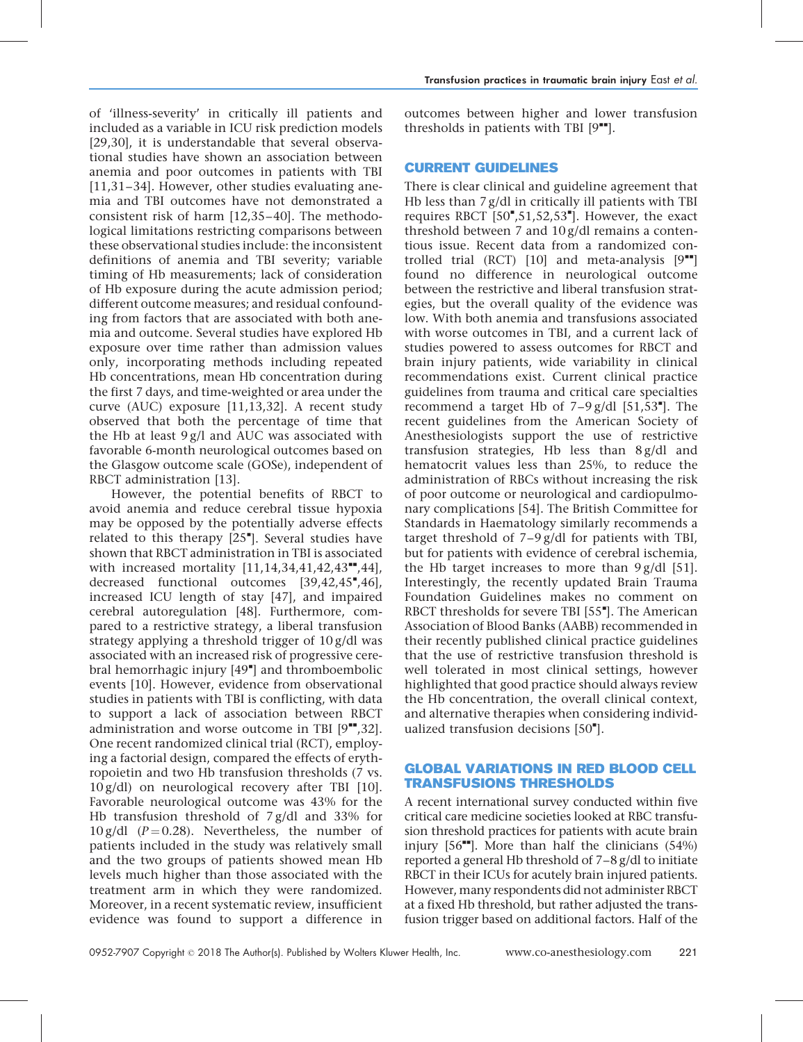of 'illness-severity' in critically ill patients and included as a variable in ICU risk prediction models [29,30], it is understandable that several observational studies have shown an association between anemia and poor outcomes in patients with TBI [11,31–34]. However, other studies evaluating anemia and TBI outcomes have not demonstrated a consistent risk of harm [12,35–40]. The methodological limitations restricting comparisons between these observational studies include: the inconsistent definitions of anemia and TBI severity; variable timing of Hb measurements; lack of consideration of Hb exposure during the acute admission period; different outcome measures; and residual confounding from factors that are associated with both anemia and outcome. Several studies have explored Hb exposure over time rather than admission values only, incorporating methods including repeated Hb concentrations, mean Hb concentration during the first 7 days, and time-weighted or area under the curve (AUC) exposure [11,13,32]. A recent study observed that both the percentage of time that the Hb at least 9 g/l and AUC was associated with favorable 6-month neurological outcomes based on the Glasgow outcome scale (GOSe), independent of RBCT administration [13].

However, the potential benefits of RBCT to avoid anemia and reduce cerebral tissue hypoxia may be opposed by the potentially adverse effects related to this therapy [25"]. Several studies have shown that RBCT administration in TBI is associated with increased mortality  $[11, 14, 34, 41, 42, 43$ <sup>\*\*</sup>,44], decreased functional outcomes [39,42,45",46], increased ICU length of stay [47], and impaired cerebral autoregulation [48]. Furthermore, compared to a restrictive strategy, a liberal transfusion strategy applying a threshold trigger of 10 g/dl was associated with an increased risk of progressive cerebral hemorrhagic injury [49"] and thromboembolic events [10]. However, evidence from observational studies in patients with TBI is conflicting, with data to support a lack of association between RBCT administration and worse outcome in TBI  $[9"$ ,32]. One recent randomized clinical trial (RCT), employing a factorial design, compared the effects of erythropoietin and two Hb transfusion thresholds (7 vs. 10 g/dl) on neurological recovery after TBI [10]. Favorable neurological outcome was 43% for the Hb transfusion threshold of 7 g/dl and 33% for  $10 \text{ g/dl}$  (P = 0.28). Nevertheless, the number of patients included in the study was relatively small and the two groups of patients showed mean Hb levels much higher than those associated with the treatment arm in which they were randomized. Moreover, in a recent systematic review, insufficient evidence was found to support a difference in

outcomes between higher and lower transfusion thresholds in patients with TBI  $[9^{\bullet\bullet}].$ 

# CURRENT GUIDELINES

There is clear clinical and guideline agreement that Hb less than 7 g/dl in critically ill patients with TBI requires RBCT [50",51,52,53"]. However, the exact threshold between 7 and 10 g/dl remains a contentious issue. Recent data from a randomized controlled trial (RCT) [10] and meta-analysis  $[9^{\bullet\bullet}]$ found no difference in neurological outcome between the restrictive and liberal transfusion strategies, but the overall quality of the evidence was low. With both anemia and transfusions associated with worse outcomes in TBI, and a current lack of studies powered to assess outcomes for RBCT and brain injury patients, wide variability in clinical recommendations exist. Current clinical practice guidelines from trauma and critical care specialties recommend a target Hb of  $7-9$  g/dl  $[51,53$ ]. The recent guidelines from the American Society of Anesthesiologists support the use of restrictive transfusion strategies, Hb less than 8 g/dl and hematocrit values less than 25%, to reduce the administration of RBCs without increasing the risk of poor outcome or neurological and cardiopulmonary complications [54]. The British Committee for Standards in Haematology similarly recommends a target threshold of 7–9 g/dl for patients with TBI, but for patients with evidence of cerebral ischemia, the Hb target increases to more than  $9 g/dl$  [51]. Interestingly, the recently updated Brain Trauma Foundation Guidelines makes no comment on RBCT thresholds for severe TBI [55"]. The American Association of Blood Banks (AABB) recommended in their recently published clinical practice guidelines that the use of restrictive transfusion threshold is well tolerated in most clinical settings, however highlighted that good practice should always review the Hb concentration, the overall clinical context, and alternative therapies when considering individualized transfusion decisions [50"].

# GLOBAL VARIATIONS IN RED BLOOD CELL TRANSFUSIONS THRESHOLDS

A recent international survey conducted within five critical care medicine societies looked at RBC transfusion threshold practices for patients with acute brain injury  $[56$ <sup> $\text{m}$ </sup>. More than half the clinicians  $(54%)$ reported a general Hb threshold of 7–8 g/dl to initiate RBCT in their ICUs for acutely brain injured patients. However, many respondents did not administer RBCT at a fixed Hb threshold, but rather adjusted the transfusion trigger based on additional factors. Half of the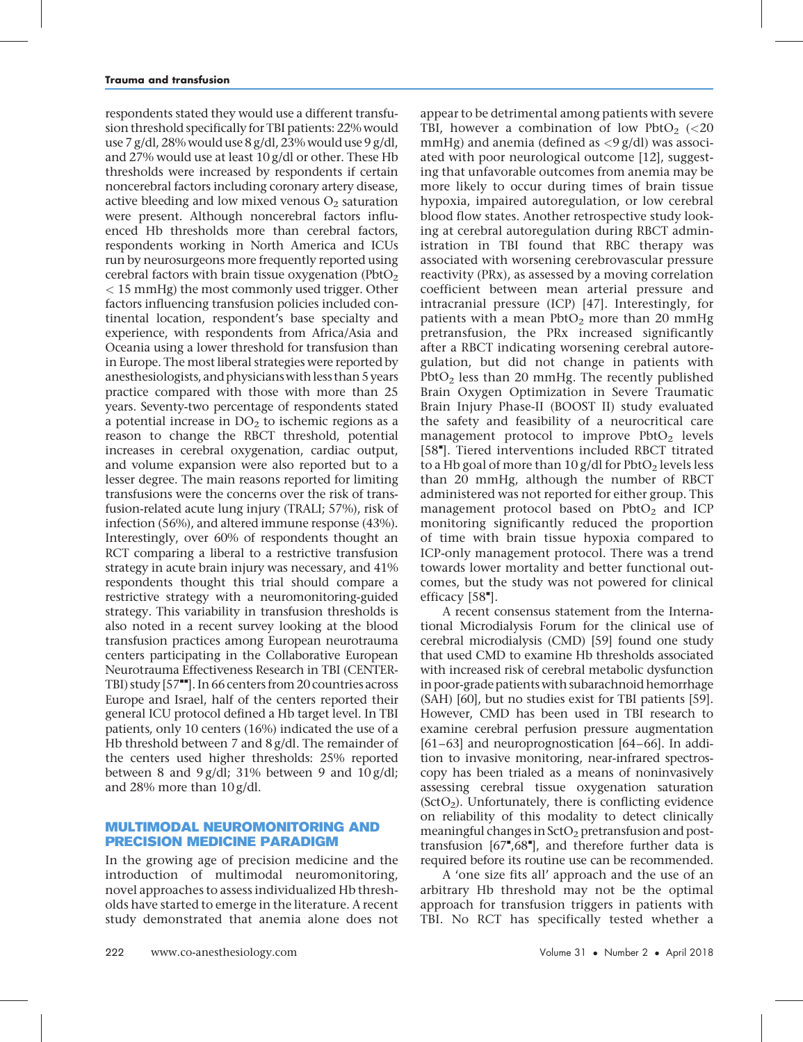respondents stated they would use a different transfusion threshold specifically for TBI patients: 22% would use 7 g/dl, 28% would use 8 g/dl, 23% would use 9 g/dl, and 27% would use at least 10 g/dl or other. These Hb thresholds were increased by respondents if certain noncerebral factors including coronary artery disease, active bleeding and low mixed venous  $O_2$  saturation were present. Although noncerebral factors influenced Hb thresholds more than cerebral factors, respondents working in North America and ICUs run by neurosurgeons more frequently reported using cerebral factors with brain tissue oxygenation ( $Pb$ t $O<sub>2</sub>$ ) < 15 mmHg) the most commonly used trigger. Other factors influencing transfusion policies included continental location, respondent's base specialty and experience, with respondents from Africa/Asia and Oceania using a lower threshold for transfusion than in Europe. The most liberal strategies were reported by anesthesiologists, and physicianswith less than 5 years practice compared with those with more than 25 years. Seventy-two percentage of respondents stated a potential increase in  $DO<sub>2</sub>$  to ischemic regions as a reason to change the RBCT threshold, potential increases in cerebral oxygenation, cardiac output, and volume expansion were also reported but to a lesser degree. The main reasons reported for limiting transfusions were the concerns over the risk of transfusion-related acute lung injury (TRALI; 57%), risk of infection (56%), and altered immune response (43%). Interestingly, over 60% of respondents thought an RCT comparing a liberal to a restrictive transfusion strategy in acute brain injury was necessary, and 41% respondents thought this trial should compare a restrictive strategy with a neuromonitoring-guided strategy. This variability in transfusion thresholds is also noted in a recent survey looking at the blood transfusion practices among European neurotrauma centers participating in the Collaborative European Neurotrauma Effectiveness Research in TBI (CENTER-TBI) study  $[57"$ . In 66 centers from 20 countries across Europe and Israel, half of the centers reported their general ICU protocol defined a Hb target level. In TBI patients, only 10 centers (16%) indicated the use of a Hb threshold between 7 and 8 g/dl. The remainder of the centers used higher thresholds: 25% reported between 8 and 9  $g/dl$ ; 31% between 9 and 10  $g/dl$ ; and 28% more than 10 g/dl.

### MULTIMODAL NEUROMONITORING AND PRECISION MEDICINE PARADIGM

In the growing age of precision medicine and the introduction of multimodal neuromonitoring, novel approaches to assess individualized Hb thresholds have started to emerge in the literature. A recent study demonstrated that anemia alone does not

appear to be detrimental among patients with severe TBI, however a combination of low PbtO<sub>2</sub> (<20 mmHg) and anemia (defined as  $\langle 9 \text{ g/d}$ l) was associated with poor neurological outcome [12], suggesting that unfavorable outcomes from anemia may be more likely to occur during times of brain tissue hypoxia, impaired autoregulation, or low cerebral blood flow states. Another retrospective study looking at cerebral autoregulation during RBCT administration in TBI found that RBC therapy was associated with worsening cerebrovascular pressure reactivity (PRx), as assessed by a moving correlation coefficient between mean arterial pressure and intracranial pressure (ICP) [47]. Interestingly, for patients with a mean  $PbtO<sub>2</sub>$  more than 20 mmHg pretransfusion, the PRx increased significantly after a RBCT indicating worsening cerebral autoregulation, but did not change in patients with  $PbtO<sub>2</sub>$  less than 20 mmHg. The recently published Brain Oxygen Optimization in Severe Traumatic Brain Injury Phase-II (BOOST II) study evaluated the safety and feasibility of a neurocritical care management protocol to improve  $PbtO<sub>2</sub>$  levels [58"]. Tiered interventions included RBCT titrated to a Hb goal of more than  $10$  g/dl for PbtO<sub>2</sub> levels less than 20 mmHg, although the number of RBCT administered was not reported for either group. This management protocol based on  $PbtO<sub>2</sub>$  and ICP monitoring significantly reduced the proportion of time with brain tissue hypoxia compared to ICP-only management protocol. There was a trend towards lower mortality and better functional outcomes, but the study was not powered for clinical efficacy [58"].

A recent consensus statement from the International Microdialysis Forum for the clinical use of cerebral microdialysis (CMD) [59] found one study that used CMD to examine Hb thresholds associated with increased risk of cerebral metabolic dysfunction in poor-grade patients with subarachnoid hemorrhage (SAH) [60], but no studies exist for TBI patients [59]. However, CMD has been used in TBI research to examine cerebral perfusion pressure augmentation [61–63] and neuroprognostication [64–66]. In addition to invasive monitoring, near-infrared spectroscopy has been trialed as a means of noninvasively assessing cerebral tissue oxygenation saturation  $(SctO<sub>2</sub>)$ . Unfortunately, there is conflicting evidence on reliability of this modality to detect clinically meaningful changes in  $SctO<sub>2</sub>$  pretransfusion and posttransfusion  $[67^{\bullet}, 68^{\bullet}]$ , and therefore further data is required before its routine use can be recommended.

A 'one size fits all' approach and the use of an arbitrary Hb threshold may not be the optimal approach for transfusion triggers in patients with TBI. No RCT has specifically tested whether a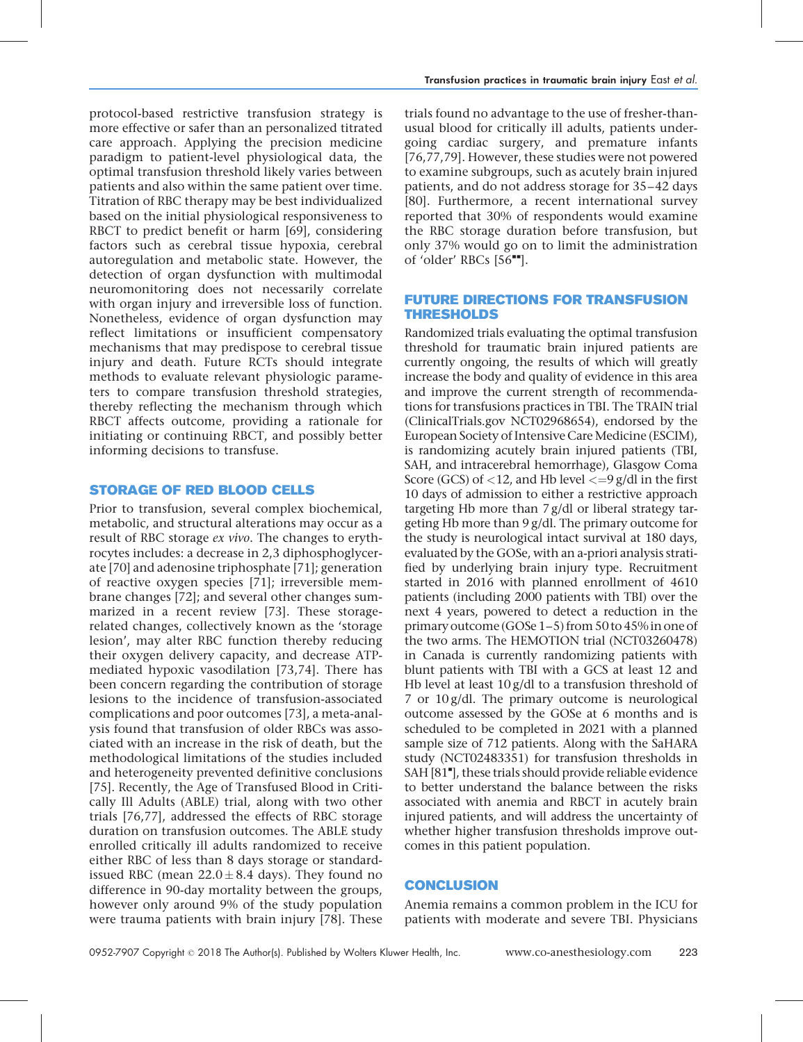protocol-based restrictive transfusion strategy is more effective or safer than an personalized titrated care approach. Applying the precision medicine paradigm to patient-level physiological data, the optimal transfusion threshold likely varies between patients and also within the same patient over time. Titration of RBC therapy may be best individualized based on the initial physiological responsiveness to RBCT to predict benefit or harm [69], considering factors such as cerebral tissue hypoxia, cerebral autoregulation and metabolic state. However, the detection of organ dysfunction with multimodal neuromonitoring does not necessarily correlate with organ injury and irreversible loss of function. Nonetheless, evidence of organ dysfunction may reflect limitations or insufficient compensatory mechanisms that may predispose to cerebral tissue injury and death. Future RCTs should integrate methods to evaluate relevant physiologic parameters to compare transfusion threshold strategies, thereby reflecting the mechanism through which RBCT affects outcome, providing a rationale for initiating or continuing RBCT, and possibly better informing decisions to transfuse.

### STORAGE OF RED BLOOD CELLS

Prior to transfusion, several complex biochemical, metabolic, and structural alterations may occur as a result of RBC storage ex vivo. The changes to erythrocytes includes: a decrease in 2,3 diphosphoglycerate [70] and adenosine triphosphate [71]; generation of reactive oxygen species [71]; irreversible membrane changes [72]; and several other changes summarized in a recent review [73]. These storagerelated changes, collectively known as the 'storage lesion', may alter RBC function thereby reducing their oxygen delivery capacity, and decrease ATPmediated hypoxic vasodilation [73,74]. There has been concern regarding the contribution of storage lesions to the incidence of transfusion-associated complications and poor outcomes [73], a meta-analysis found that transfusion of older RBCs was associated with an increase in the risk of death, but the methodological limitations of the studies included and heterogeneity prevented definitive conclusions [75]. Recently, the Age of Transfused Blood in Critically Ill Adults (ABLE) trial, along with two other trials [76,77], addressed the effects of RBC storage duration on transfusion outcomes. The ABLE study enrolled critically ill adults randomized to receive either RBC of less than 8 days storage or standardissued RBC (mean  $22.0 \pm 8.4$  days). They found no difference in 90-day mortality between the groups, however only around 9% of the study population were trauma patients with brain injury [78]. These

trials found no advantage to the use of fresher-thanusual blood for critically ill adults, patients undergoing cardiac surgery, and premature infants [76,77,79]. However, these studies were not powered to examine subgroups, such as acutely brain injured patients, and do not address storage for 35–42 days [80]. Furthermore, a recent international survey reported that 30% of respondents would examine the RBC storage duration before transfusion, but only 37% would go on to limit the administration of 'older' RBCs  $[56$ <sup> $H$ </sup>].

# FUTURE DIRECTIONS FOR TRANSFUSION THRESHOLDS

Randomized trials evaluating the optimal transfusion threshold for traumatic brain injured patients are currently ongoing, the results of which will greatly increase the body and quality of evidence in this area and improve the current strength of recommendations for transfusions practices in TBI. The TRAIN trial (ClinicalTrials.gov NCT02968654), endorsed by the European Society of Intensive Care Medicine (ESCIM), is randomizing acutely brain injured patients (TBI, SAH, and intracerebral hemorrhage), Glasgow Coma Score (GCS) of  $<$ 12, and Hb level  $<$ =9 g/dl in the first 10 days of admission to either a restrictive approach targeting Hb more than 7 g/dl or liberal strategy targeting Hb more than 9 g/dl. The primary outcome for the study is neurological intact survival at 180 days, evaluated by the GOSe, with an a-priori analysis stratified by underlying brain injury type. Recruitment started in 2016 with planned enrollment of 4610 patients (including 2000 patients with TBI) over the next 4 years, powered to detect a reduction in the primary outcome (GOSe 1–5) from 50 to 45% in one of the two arms. The HEMOTION trial (NCT03260478) in Canada is currently randomizing patients with blunt patients with TBI with a GCS at least 12 and Hb level at least  $10 g/dl$  to a transfusion threshold of 7 or 10 g/dl. The primary outcome is neurological outcome assessed by the GOSe at 6 months and is scheduled to be completed in 2021 with a planned sample size of 712 patients. Along with the SaHARA study (NCT02483351) for transfusion thresholds in SAH [81"], these trials should provide reliable evidence to better understand the balance between the risks associated with anemia and RBCT in acutely brain injured patients, and will address the uncertainty of whether higher transfusion thresholds improve outcomes in this patient population.

# **CONCLUSION**

Anemia remains a common problem in the ICU for patients with moderate and severe TBI. Physicians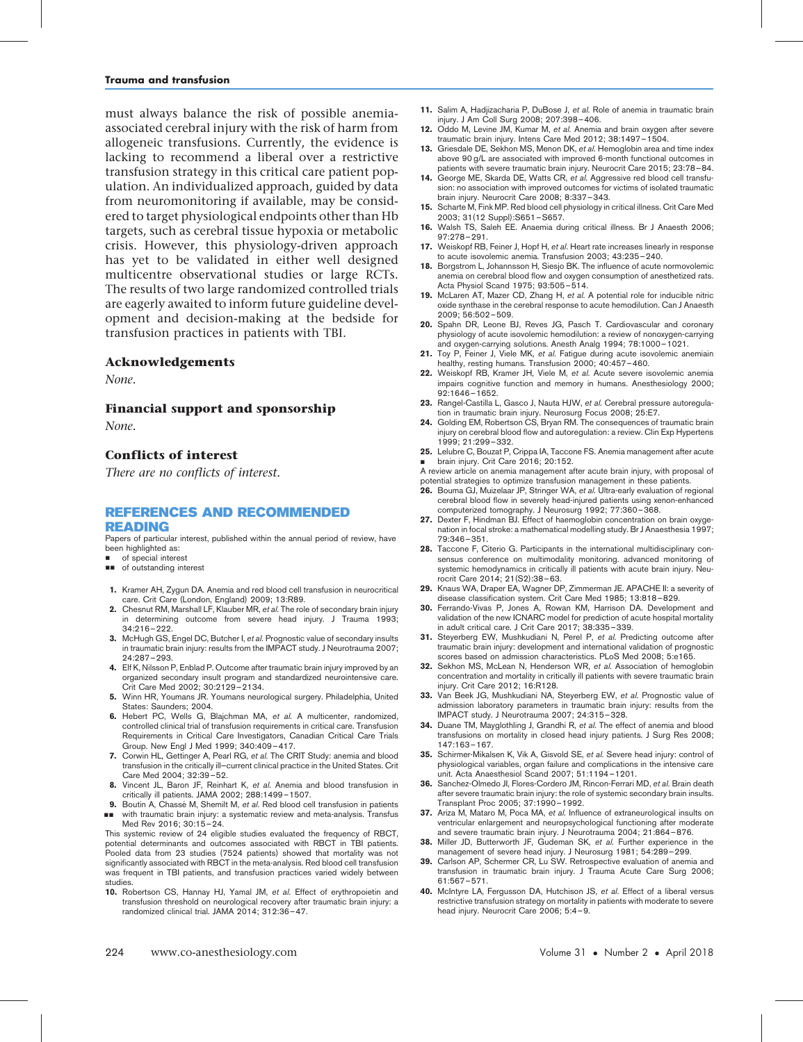must always balance the risk of possible anemiaassociated cerebral injury with the risk of harm from allogeneic transfusions. Currently, the evidence is lacking to recommend a liberal over a restrictive transfusion strategy in this critical care patient population. An individualized approach, guided by data from neuromonitoring if available, may be considered to target physiological endpoints other than Hb targets, such as cerebral tissue hypoxia or metabolic crisis. However, this physiology-driven approach has yet to be validated in either well designed multicentre observational studies or large RCTs. The results of two large randomized controlled trials are eagerly awaited to inform future guideline development and decision-making at the bedside for transfusion practices in patients with TBI.

### Acknowledgements

None.

Financial support and sponsorship

None.

### Conflicts of interest

There are no conflicts of interest.

#### REFERENCES AND RECOMMENDED READING

Papers of particular interest, published within the annual period of review, have been highlighted as:

- of special interest
- $\Box$  of outstanding interest
- 1. Kramer AH, Zygun DA. Anemia and red blood cell transfusion in neurocritical care. Crit Care (London, England) 2009; 13:R89.
- 2. Chesnut RM, Marshall LF, Klauber MR, et al. The role of secondary brain injury in determining outcome from severe head injury. J Trauma 1993; 34:216–222.
- 3. McHugh GS, Engel DC, Butcher I, et al. Prognostic value of secondary insults in traumatic brain injury: results from the IMPACT study. J Neurotrauma 2007; 24:287–293.
- 4. Elf K, Nilsson P, Enblad P. Outcome after traumatic brain injury improved by an organized secondary insult program and standardized neurointensive care. Crit Care Med 2002; 30:2129-2134.
- 5. Winn HR, Youmans JR. Youmans neurological surgery. Philadelphia, United States: Saunders; 2004.
- 6. Hebert PC, Wells G. Blaichman MA, et al. A multicenter, randomized, controlled clinical trial of transfusion requirements in critical care. Transfusion Requirements in Critical Care Investigators, Canadian Critical Care Trials Group. New Engl J Med 1999; 340:409–417.
- 7. Corwin HL, Gettinger A, Pearl RG, et al. The CRIT Study: anemia and blood transfusion in the critically ill—current clinical practice in the United States. Crit Care Med 2004; 32:39–52.
- 8. Vincent JL, Baron JF, Reinhart K, et al. Anemia and blood transfusion in critically ill patients. JAMA 2002; 288:1499–1507.
- 9. Boutin A, Chassé M, Shemilt M, et al. Red blood cell transfusion in patients && with traumatic brain injury: a systematic review and meta-analysis. Transfus Med Rev 2016; 30:15–24.

This systemic review of 24 eligible studies evaluated the frequency of RBCT, potential determinants and outcomes associated with RBCT in TBI patients. Pooled data from 23 studies (7524 patients) showed that mortality was not significantly associated with RBCT in the meta-analysis. Red blood cell transfusion was frequent in TBI patients, and transfusion practices varied widely between studies.

10. Robertson CS, Hannay HJ, Yamal JM, et al. Effect of erythropoietin and transfusion threshold on neurological recovery after traumatic brain injury: a randomized clinical trial. JAMA 2014; 312:36–47.

- 11. Salim A, Hadjizacharia P, DuBose J, et al. Role of anemia in traumatic brain
- injury. J Am Coll Surg 2008; 207:398–406. 12. Oddo M, Levine JM, Kumar M, et al. Anemia and brain oxygen after severe traumatic brain injury. Intens Care Med 2012; 38:1497–1504.
- 13. Griesdale DE, Sekhon MS, Menon DK, et al. Hemoglobin area and time index above 90 g/L are associated with improved 6-month functional outcomes in patients with severe traumatic brain injury. Neurocrit Care 2015; 23:78–84.
- 14. George ME, Skarda DE, Watts CR, et al. Aggressive red blood cell transfusion: no association with improved outcomes for victims of isolated traumatic brain injury. Neurocrit Care 2008; 8:337–343.
- 15. Scharte M, Fink MP. Red blood cell physiology in critical illness. Crit Care Med 2003; 31(12 Suppl):S651–S657.
- 16. Walsh TS, Saleh EE. Anaemia during critical illness. Br J Anaesth 2006; 97:278–291.
- 17. Weiskopf RB, Feiner J, Hopf H, et al. Heart rate increases linearly in response to acute isovolemic anemia. Transfusion 2003; 43:235–240.
- 18. Borgstrom L, Johannsson H, Siesjo BK. The influence of acute normovolemic anemia on cerebral blood flow and oxygen consumption of anesthetized rats. Acta Physiol Scand 1975; 93:505–514.
- 19. McLaren AT, Mazer CD, Zhang H, et al. A potential role for inducible nitric oxide synthase in the cerebral response to acute hemodilution. Can J Anaesth 2009; 56:502–509.
- 20. Spahn DR, Leone BJ, Reves JG, Pasch T. Cardiovascular and coronary physiology of acute isovolemic hemodilution: a review of nonoxygen-carrying and oxygen-carrying solutions. Anesth Analg 1994; 78:1000–1021.
- 21. Toy P, Feiner J, Viele MK, et al. Fatigue during acute isovolemic anemiain healthy, resting humans. Transfusion 2000; 40:457–460.
- 22. Weiskopf RB, Kramer JH, Viele M, et al. Acute severe isovolemic anemia impairs cognitive function and memory in humans. Anesthesiology 2000; 92:1646–1652.
- 23. Rangel-Castilla L, Gasco J, Nauta HJW, et al. Cerebral pressure autoregulation in traumatic brain injury. Neurosurg Focus 2008; 25:E7.
- 24. Golding EM, Robertson CS, Bryan RM. The consequences of traumatic brain injury on cerebral blood flow and autoregulation: a review. Clin Exp Hypertens 1999; 21:299–332.
- 25. Lelubre C, Bouzat P, Crippa IA, Taccone FS. Anemia management after acute & brain injury. Crit Care 2016; 20:152.
- A review article on anemia management after acute brain injury, with proposal of potential strategies to optimize transfusion management in these patients.
- 26. Bouma GJ, Muizelaar JP, Stringer WA, et al. Ultra-early evaluation of regional cerebral blood flow in severely head-injured patients using xenon-enhanced computerized tomography. J Neurosurg 1992; 77:360–368.
- 27. Dexter F, Hindman BJ. Effect of haemoglobin concentration on brain oxygenation in focal stroke: a mathematical modelling study. Br J Anaesthesia 1997; 79:346–351.
- 28. Taccone F, Citerio G. Participants in the international multidisciplinary consensus conference on multimodality monitoring. advanced monitoring of systemic hemodynamics in critically ill patients with acute brain injury. Neurocrit Care 2014; 21(S2):38–63.
- 29. Knaus WA, Draper EA, Wagner DP, Zimmerman JE. APACHE II: a severity of disease classification system. Crit Care Med 1985; 13:818–829.
- 30. Ferrando-Vivas P, Jones A, Rowan KM, Harrison DA. Development and validation of the new ICNARC model for prediction of acute hospital mortality in adult critical care. J Crit Care 2017; 38:335–339.
- 31. Steyerberg EW, Mushkudiani N, Perel P, et al. Predicting outcome after traumatic brain injury: development and international validation of prognostic scores based on admission characteristics. PLoS Med 2008; 5:e165.
- 32. Sekhon MS, McLean N, Henderson WR, et al. Association of hemoglobin concentration and mortality in critically ill patients with severe traumatic brain injury. Crit Care 2012; 16:R128.
- 33. Van Beek JG, Mushkudiani NA, Steyerberg EW, et al. Prognostic value of admission laboratory parameters in traumatic brain injury: results from the IMPACT study. J Neurotrauma 2007; 24:315–328.
- 34. Duane TM, Mayglothling J, Grandhi R, et al. The effect of anemia and blood transfusions on mortality in closed head injury patients. J Surg Res 2008; 147:163–167.
- 35. Schirmer-Mikalsen K, Vik A, Gisvold SE, et al. Severe head injury: control of physiological variables, organ failure and complications in the intensive care unit. Acta Anaesthesiol Scand 2007; 51:1194–1201.
- 36. Sanchez-Olmedo Jl, Flores-Cordero JM, Rincon-Ferrari MD, et al. Brain death after severe traumatic brain injury: the role of systemic secondary brain insults. Transplant Proc 2005; 37:1990–1992.
- 37. Ariza M, Mataro M, Poca MA, et al. Influence of extraneurological insults on ventricular enlargement and neuropsychological functioning after moderate and severe traumatic brain injury. J Neurotrauma 2004; 21:864–876.
- 38. Miller JD, Butterworth JF, Gudeman SK, et al. Further experience in the management of severe head injury. J Neurosurg 1981; 54:289–299.
- 39. Carlson AP, Schermer CR, Lu SW. Retrospective evaluation of anemia and transfusion in traumatic brain injury. J Trauma Acute Care Surg 2006; 61:567–571.
- 40. McIntyre LA, Fergusson DA, Hutchison JS, et al. Effect of a liberal versus restrictive transfusion strategy on mortality in patients with moderate to severe head injury. Neurocrit Care 2006; 5:4–9.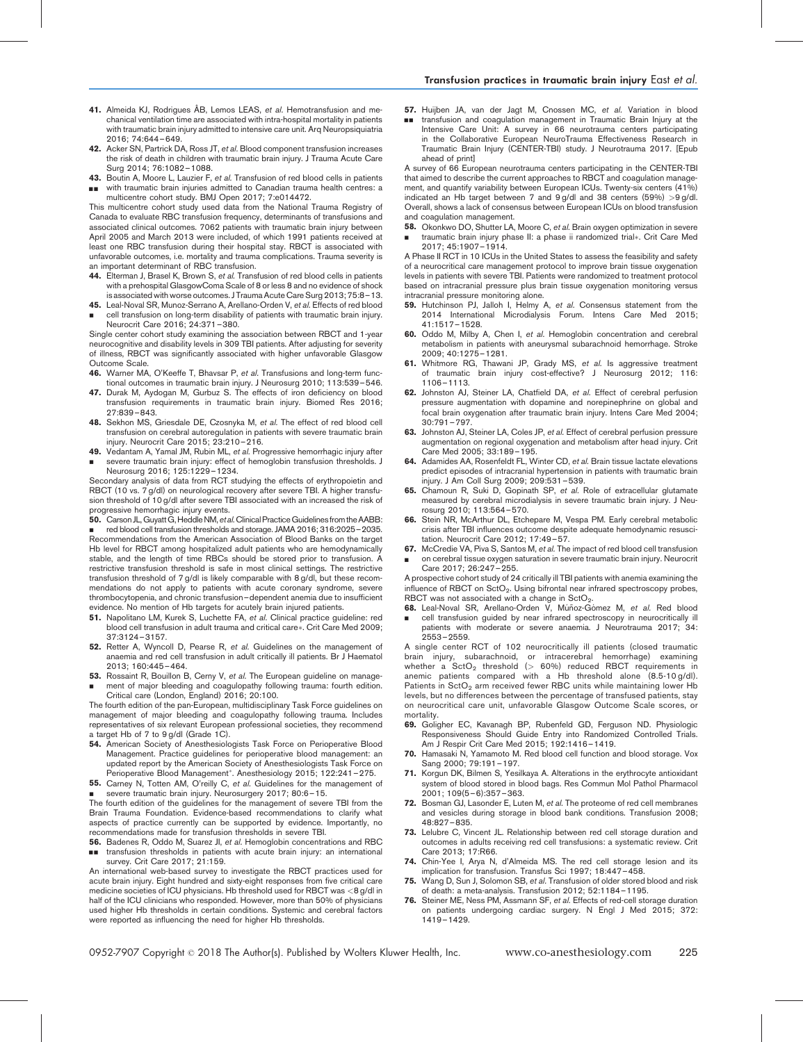- 41. Almeida KJ, Rodrigues ÂB, Lemos LEAS, et al. Hemotransfusion and mechanical ventilation time are associated with intra-hospital mortality in patients with traumatic brain injury admitted to intensive care unit. Arq Neuropsiquiatria 2016; 74:644–649.
- 42. Acker SN, Partrick DA, Ross JT, et al. Blood component transfusion increases the risk of death in children with traumatic brain injury. J Trauma Acute Care Surg 2014; 76:1082–1088.
- 43. Boutin A, Moore L, Lauzier F, et al. Transfusion of red blood cells in patients && with traumatic brain injuries admitted to Canadian trauma health centres: a
- multicentre cohort study. BMJ Open 2017; 7:e014472. This multicentre cohort study used data from the National Trauma Registry of

Canada to evaluate RBC transfusion frequency, determinants of transfusions and associated clinical outcomes. 7062 patients with traumatic brain injury between April 2005 and March 2013 were included, of which 1991 patients received at least one RBC transfusion during their hospital stay. RBCT is associated with unfavorable outcomes, i.e. mortality and trauma complications. Trauma severity is an important determinant of RBC transfusion.

- 44. Elterman J, Brasel K, Brown S, et al. Transfusion of red blood cells in patients with a prehospital GlasgowComa Scale of 8 or less 8 and no evidence of shock is associated with worse outcomes. J Trauma Acute Care Surg 2013; 75:8–13.
- 45. Leal-Noval SR, Munoz-Serrano A, Arellano-Orden V, et al. Effects of red blood & cell transfusion on long-term disability of patients with traumatic brain injury. Neurocrit Care 2016; 24:371–380.

Single center cohort study examining the association between RBCT and 1-year neurocognitive and disability levels in 309 TBI patients. After adjusting for severity of illness, RBCT was significantly associated with higher unfavorable Glasgow Outcome Scale.

- 46. Warner MA, O'Keeffe T, Bhavsar P, et al. Transfusions and long-term functional outcomes in traumatic brain injury. J Neurosurg 2010; 113:539–546.
- 47. Durak M, Aydogan M, Gurbuz S. The effects of iron deficiency on blood transfusion requirements in traumatic brain injury. Biomed Res 2016; 27:839–843.
- 48. Sekhon MS, Griesdale DE, Czosnyka M, et al. The effect of red blood cell transfusion on cerebral autoregulation in patients with severe traumatic brain injury. Neurocrit Care 2015; 23:210–216.
- 49. Vedantam A, Yamal JM, Rubin ML, e*t al.* Progressive hemorrhagic injury after
- & severe traumatic brain injury: effect of hemoglobin transfusion thresholds. J Neurosurg 2016; 125:1229–1234.

Secondary analysis of data from RCT studying the effects of erythropoietin and RBCT (10 vs. 7 g/dl) on neurological recovery after severe TBI. A higher transfusion threshold of 10 g/dl after severe TBI associated with an increased the risk of progressive hemorrhagic injury events.

50. Carson JL, Guyatt G, Heddle NM, et al. Clinical Practice Guidelines from the AABB: & red blood cell transfusion thresholds and storage. JAMA 2016; 316:2025–2035. Recommendations from the American Association of Blood Banks on the target Hb level for RBCT among hospitalized adult patients who are hemodynamically stable, and the length of time RBCs should be stored prior to transfusion. A restrictive transfusion threshold is safe in most clinical settings. The restrictive transfusion threshold of 7 g/dl is likely comparable with 8 g/dl, but these recommendations do not apply to patients with acute coronary syndrome, severe thrombocytopenia, and chronic transfusion–dependent anemia due to insufficient evidence. No mention of Hb targets for acutely brain injured patients.

- 51. Napolitano LM, Kurek S, Luchette FA, et al. Clinical practice guideline: red blood cell transfusion in adult trauma and critical care\*. Crit Care Med 2009: 37:3124–3157.
- 52. Retter A, Wyncoll D, Pearse R, et al. Guidelines on the management of anaemia and red cell transfusion in adult critically ill patients. Br J Haematol 2013; 160:445–464.
- 53. Rossaint R, Bouillon B, Cerny V, et al. The European guideline on manage-& ment of major bleeding and coagulopathy following trauma: fourth edition. Critical care (London, England) 2016; 20:100.

The fourth edition of the pan-European, multidisciplinary Task Force guidelines on management of major bleeding and coagulopathy following trauma. Includes representatives of six relevant European professional societies, they recommend a target Hb of 7 to 9 g/dl (Grade 1C).

- 54. American Society of Anesthesiologists Task Force on Perioperative Blood Management. Practice guidelines for perioperative blood management: an updated report by the American Society of Anesthesiologists Task Force on Perioperative Blood Management\*. Anesthesiology 2015; 122:241-275.
- 55. Carney N, Totten AM, O'reilly C, et al. Guidelines for the management of
- & severe traumatic brain injury. Neurosurgery 2017; 80:6–15. The fourth edition of the guidelines for the management of severe TBI from the

Brain Trauma Foundation. Evidence-based recommendations to clarify what aspects of practice currently can be supported by evidence. Importantly, no recommendations made for transfusion thresholds in severe TBI.

56. Badenes R, Oddo M, Suarez JI, et al. Hemoglobin concentrations and RBC && transfusion thresholds in patients with acute brain injury: an international survey. Crit Care 2017; 21:159.

An international web-based survey to investigate the RBCT practices used for acute brain injury. Eight hundred and sixty-eight responses from five critical care medicine societies of ICU physicians. Hb threshold used for RBCT was <8 g/dl in half of the ICU clinicians who responded. However, more than 50% of physicians used higher Hb thresholds in certain conditions. Systemic and cerebral factors were reported as influencing the need for higher Hb thresholds.

57. Huijben JA, van der Jagt M, Cnossen MC, et al. Variation in blood && transfusion and coagulation management in Traumatic Brain Injury at the Intensive Care Unit: A survey in 66 neurotrauma centers participating in the Collaborative European NeuroTrauma Effectiveness Research in Traumatic Brain Injury (CENTER-TBI) study. J Neurotrauma 2017. [Epub ahead of print]

A survey of 66 European neurotrauma centers participating in the CENTER-TBI that aimed to describe the current approaches to RBCT and coagulation management, and quantify variability between European ICUs. Twenty-six centers (41%) indicated an Hb target between 7 and 9 g/dl and 38 centers (59%) >9 g/dl. Overall, shows a lack of consensus between European ICUs on blood transfusion and coagulation management.

58. Okonkwo DO, Shutter LA, Moore C, et al. Brain oxygen optimization in severe & traumatic brain injury phase II: a phase ii randomized trial\*. Crit Care Med 2017; 45:1907–1914.

A Phase II RCT in 10 ICUs in the United States to assess the feasibility and safety of a neurocritical care management protocol to improve brain tissue oxygenation levels in patients with severe TBI. Patients were randomized to treatment protocol based on intracranial pressure plus brain tissue oxygenation monitoring versus intracranial pressure monitoring alone.

- 59. Hutchinson PJ, Jalloh I, Helmy A, et al. Consensus statement from the 2014 International Microdialysis Forum. Intens Care Med 2015; 41:1517–1528.
- 60. Oddo M, Milby A, Chen I, et al. Hemoglobin concentration and cerebral metabolism in patients with aneurysmal subarachnoid hemorrhage. Stroke 2009; 40:1275–1281.
- Whitmore RG, Thawani JP, Grady MS, et al. Is aggressive treatment of traumatic brain injury cost-effective? J Neurosurg 2012; 116: 1106–1113.
- 62. Johnston AJ, Steiner LA, Chatfield DA, et al. Effect of cerebral perfusion pressure augmentation with dopamine and norepinephrine on global and focal brain oxygenation after traumatic brain injury. Intens Care Med 2004; 30:791–797.
- 63. Johnston AJ, Steiner LA, Coles JP, et al. Effect of cerebral perfusion pressure augmentation on regional oxygenation and metabolism after head injury. Crit Care Med 2005; 33:189–195.
- 64. Adamides AA, Rosenfeldt FL, Winter CD, et al. Brain tissue lactate elevations predict episodes of intracranial hypertension in patients with traumatic brain injury. J Am Coll Surg 2009; 209:531–539.
- 65. Chamoun R, Suki D, Gopinath SP, et al. Role of extracellular glutamate measured by cerebral microdialysis in severe traumatic brain injury. J Neurosurg 2010; 113:564–570.
- 66. Stein NR, McArthur DL, Etchepare M, Vespa PM. Early cerebral metabolic crisis after TBI influences outcome despite adequate hemodynamic resuscitation. Neurocrit Care 2012; 17:49–57.
- 67. McCredie VA, Piva S, Santos M, et al. The impact of red blood cell transfusion & on cerebral tissue oxygen saturation in severe traumatic brain injury. Neurocrit Care 2017; 26:247–255.

A prospective cohort study of 24 critically ill TBI patients with anemia examining the influence of RBCT on  $\text{SetO}_2$ . Using bifrontal near infrared spectroscopy probes, RBCT was not associated with a change in  $SctO<sub>2</sub>$ .

68. Leal-Noval SR, Arellano-Orden V, Múñoz-Gómez M, et al. Red blood & cell transfusion guided by near infrared spectroscopy in neurocritically ill patients with moderate or severe anaemia. J Neurotrauma 2017; 34: 2553–2559.

A single center RCT of 102 neurocritically ill patients (closed traumatic brain injury, subarachnoid, or intracerebral hemorrhage) examining<br>whether a SctO<sub>2</sub> threshold (> 60%) reduced RBCT requirements in anemic patients compared with a Hb threshold alone (8.5-10 g/dl). Patients in  $StO<sub>2</sub>$  arm received fewer RBC units while maintaining lower Hb levels, but no differences between the percentage of transfused patients, stay on neurocritical care unit, unfavorable Glasgow Outcome Scale scores, or mortality.

- 69. Goligher EC, Kavanagh BP, Rubenfeld GD, Ferguson ND. Physiologic Responsiveness Should Guide Entry into Randomized Controlled Trials. Am J Respir Crit Care Med 2015; 192:1416–1419.
- 70. Hamasaki N, Yamamoto M. Red blood cell function and blood storage. Vox Sang 2000; 79:191–197.
- 71. Korgun DK, Bilmen S, Yesilkaya A. Alterations in the erythrocyte antioxidant system of blood stored in blood bags. Res Commun Mol Pathol Pharmacol 2001; 109(5–6):357–363.
- 72. Bosman GJ, Lasonder E, Luten M, et al. The proteome of red cell membranes and vesicles during storage in blood bank conditions. Transfusion 2008; 48:827–835.
- 73. Lelubre C, Vincent JL. Relationship between red cell storage duration and outcomes in adults receiving red cell transfusions: a systematic review. Crit Care 2013; 17:R66.
- 74. Chin-Yee I, Arya N, d'Almeida MS. The red cell storage lesion and its mplication for transfusion. Transfus Sci 1997; 18:447-458.
- 75. Wang D, Sun J, Solomon SB, et al. Transfusion of older stored blood and risk of death: a meta-analysis. Transfusion 2012; 52:1184–1195.
- Steiner ME, Ness PM, Assmann SF, et al. Effects of red-cell storage duration on patients undergoing cardiac surgery. N Engl J Med 2015; 372: 1419–1429.